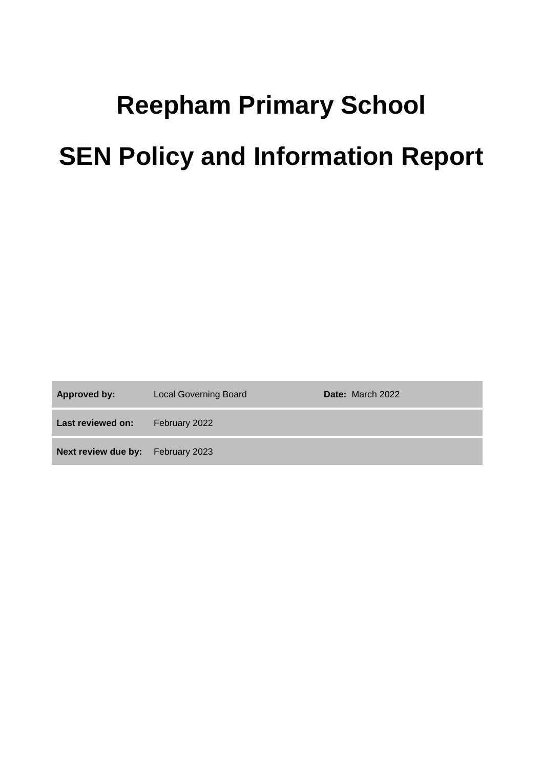# **Reepham Primary School SEN Policy and Information Report**

| <b>Approved by:</b>                      | <b>Local Governing Board</b> | <b>Date:</b> March 2022 |
|------------------------------------------|------------------------------|-------------------------|
| Last reviewed on:                        | February 2022                |                         |
| <b>Next review due by:</b> February 2023 |                              |                         |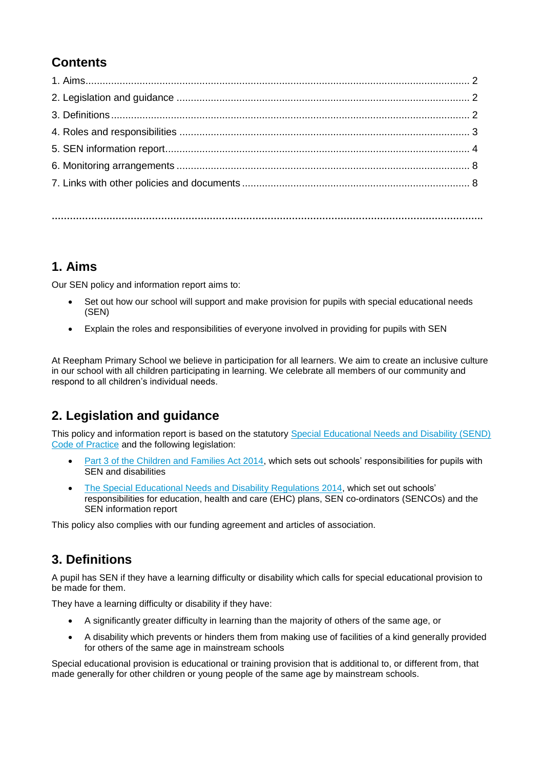# **Contents**

**…………………………………………………………………………………………………………………………….**

# **1. Aims**

Our SEN policy and information report aims to:

- Set out how our school will support and make provision for pupils with special educational needs (SEN)
- Explain the roles and responsibilities of everyone involved in providing for pupils with SEN

At Reepham Primary School we believe in participation for all learners. We aim to create an inclusive culture in our school with all children participating in learning. We celebrate all members of our community and respond to all children's individual needs.

# **2. Legislation and guidance**

This policy and information report is based on the statutory Special Educational Needs and Disability (SEND) [Code of Practice](https://www.gov.uk/government/uploads/system/uploads/attachment_data/file/398815/SEND_Code_of_Practice_January_2015.pdf) and the following legislation:

- [Part 3 of the Children and Families Act 2014,](http://www.legislation.gov.uk/ukpga/2014/6/part/3) which sets out schools' responsibilities for pupils with SEN and disabilities
- [The Special Educational Needs and Disability Regulations 2014,](http://www.legislation.gov.uk/uksi/2014/1530/contents/made) which set out schools' responsibilities for education, health and care (EHC) plans, SEN co-ordinators (SENCOs) and the SEN information report

This policy also complies with our funding agreement and articles of association.

# **3. Definitions**

A pupil has SEN if they have a learning difficulty or disability which calls for special educational provision to be made for them.

They have a learning difficulty or disability if they have:

- A significantly greater difficulty in learning than the majority of others of the same age, or
- A disability which prevents or hinders them from making use of facilities of a kind generally provided for others of the same age in mainstream schools

Special educational provision is educational or training provision that is additional to, or different from, that made generally for other children or young people of the same age by mainstream schools.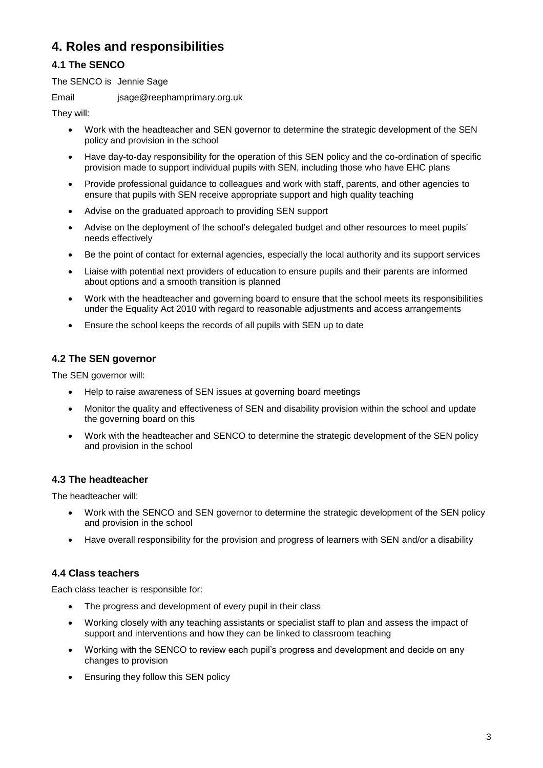# **4. Roles and responsibilities**

# **4.1 The SENCO**

The SENCO is Jennie Sage

Email jsage@reephamprimary.org.uk

They will:

- Work with the headteacher and SEN governor to determine the strategic development of the SEN policy and provision in the school
- Have day-to-day responsibility for the operation of this SEN policy and the co-ordination of specific provision made to support individual pupils with SEN, including those who have EHC plans
- Provide professional guidance to colleagues and work with staff, parents, and other agencies to ensure that pupils with SEN receive appropriate support and high quality teaching
- Advise on the graduated approach to providing SEN support
- Advise on the deployment of the school's delegated budget and other resources to meet pupils' needs effectively
- Be the point of contact for external agencies, especially the local authority and its support services
- Liaise with potential next providers of education to ensure pupils and their parents are informed about options and a smooth transition is planned
- Work with the headteacher and governing board to ensure that the school meets its responsibilities under the Equality Act 2010 with regard to reasonable adjustments and access arrangements
- Ensure the school keeps the records of all pupils with SEN up to date

# **4.2 The SEN governor**

The SEN governor will:

- Help to raise awareness of SEN issues at governing board meetings
- Monitor the quality and effectiveness of SEN and disability provision within the school and update the governing board on this
- Work with the headteacher and SENCO to determine the strategic development of the SEN policy and provision in the school

## **4.3 The headteacher**

The headteacher will:

- Work with the SENCO and SEN governor to determine the strategic development of the SEN policy and provision in the school
- Have overall responsibility for the provision and progress of learners with SEN and/or a disability

## **4.4 Class teachers**

Each class teacher is responsible for:

- The progress and development of every pupil in their class
- Working closely with any teaching assistants or specialist staff to plan and assess the impact of support and interventions and how they can be linked to classroom teaching
- Working with the SENCO to review each pupil's progress and development and decide on any changes to provision
- Ensuring they follow this SEN policy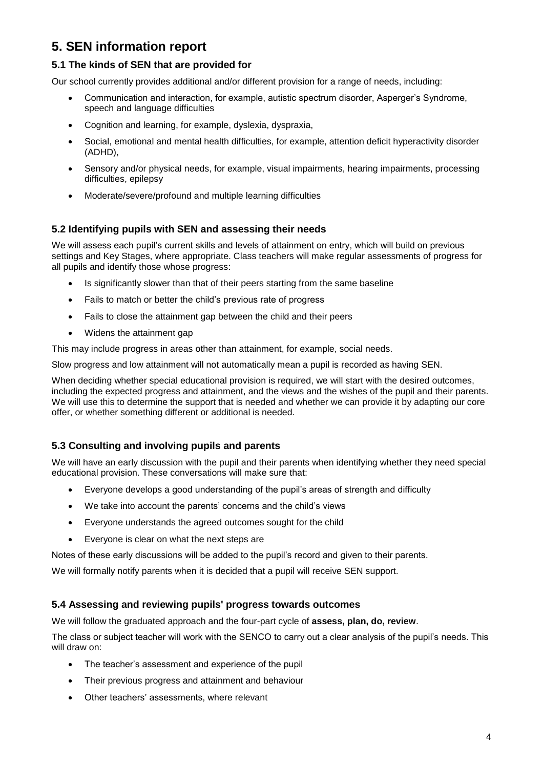# **5. SEN information report**

# **5.1 The kinds of SEN that are provided for**

Our school currently provides additional and/or different provision for a range of needs, including:

- Communication and interaction, for example, autistic spectrum disorder, Asperger's Syndrome, speech and language difficulties
- Cognition and learning, for example, dyslexia, dyspraxia,
- Social, emotional and mental health difficulties, for example, attention deficit hyperactivity disorder (ADHD),
- Sensory and/or physical needs, for example, visual impairments, hearing impairments, processing difficulties, epilepsy
- Moderate/severe/profound and multiple learning difficulties

## **5.2 Identifying pupils with SEN and assessing their needs**

We will assess each pupil's current skills and levels of attainment on entry, which will build on previous settings and Key Stages, where appropriate. Class teachers will make regular assessments of progress for all pupils and identify those whose progress:

- Is significantly slower than that of their peers starting from the same baseline
- Fails to match or better the child's previous rate of progress
- Fails to close the attainment gap between the child and their peers
- Widens the attainment gap

This may include progress in areas other than attainment, for example, social needs.

Slow progress and low attainment will not automatically mean a pupil is recorded as having SEN.

When deciding whether special educational provision is required, we will start with the desired outcomes, including the expected progress and attainment, and the views and the wishes of the pupil and their parents. We will use this to determine the support that is needed and whether we can provide it by adapting our core offer, or whether something different or additional is needed.

## **5.3 Consulting and involving pupils and parents**

We will have an early discussion with the pupil and their parents when identifying whether they need special educational provision. These conversations will make sure that:

- Everyone develops a good understanding of the pupil's areas of strength and difficulty
- We take into account the parents' concerns and the child's views
- Everyone understands the agreed outcomes sought for the child
- Everyone is clear on what the next steps are

Notes of these early discussions will be added to the pupil's record and given to their parents.

We will formally notify parents when it is decided that a pupil will receive SEN support.

#### **5.4 Assessing and reviewing pupils' progress towards outcomes**

We will follow the graduated approach and the four-part cycle of **assess, plan, do, review**.

The class or subject teacher will work with the SENCO to carry out a clear analysis of the pupil's needs. This will draw on:

- The teacher's assessment and experience of the pupil
- Their previous progress and attainment and behaviour
- Other teachers' assessments, where relevant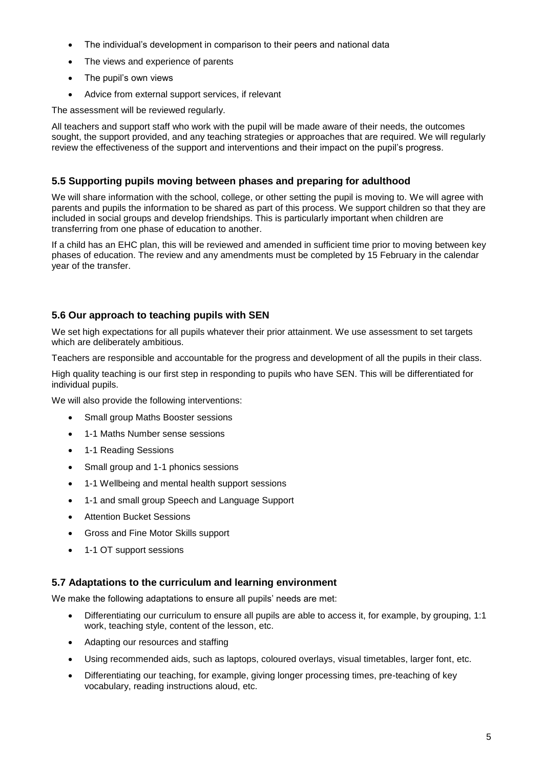- The individual's development in comparison to their peers and national data
- The views and experience of parents
- The pupil's own views
- Advice from external support services, if relevant

The assessment will be reviewed regularly.

All teachers and support staff who work with the pupil will be made aware of their needs, the outcomes sought, the support provided, and any teaching strategies or approaches that are required. We will regularly review the effectiveness of the support and interventions and their impact on the pupil's progress.

## **5.5 Supporting pupils moving between phases and preparing for adulthood**

We will share information with the school, college, or other setting the pupil is moving to. We will agree with parents and pupils the information to be shared as part of this process. We support children so that they are included in social groups and develop friendships. This is particularly important when children are transferring from one phase of education to another.

If a child has an EHC plan, this will be reviewed and amended in sufficient time prior to moving between key phases of education. The review and any amendments must be completed by 15 February in the calendar year of the transfer.

# **5.6 Our approach to teaching pupils with SEN**

We set high expectations for all pupils whatever their prior attainment. We use assessment to set targets which are deliberately ambitious.

Teachers are responsible and accountable for the progress and development of all the pupils in their class.

High quality teaching is our first step in responding to pupils who have SEN. This will be differentiated for individual pupils.

We will also provide the following interventions:

- Small group Maths Booster sessions
- 1-1 Maths Number sense sessions
- 1-1 Reading Sessions
- Small group and 1-1 phonics sessions
- 1-1 Wellbeing and mental health support sessions
- 1-1 and small group Speech and Language Support
- Attention Bucket Sessions
- Gross and Fine Motor Skills support
- 1-1 OT support sessions

#### **5.7 Adaptations to the curriculum and learning environment**

We make the following adaptations to ensure all pupils' needs are met:

- Differentiating our curriculum to ensure all pupils are able to access it, for example, by grouping, 1:1 work, teaching style, content of the lesson, etc.
- Adapting our resources and staffing
- Using recommended aids, such as laptops, coloured overlays, visual timetables, larger font, etc.
- Differentiating our teaching, for example, giving longer processing times, pre-teaching of key vocabulary, reading instructions aloud, etc.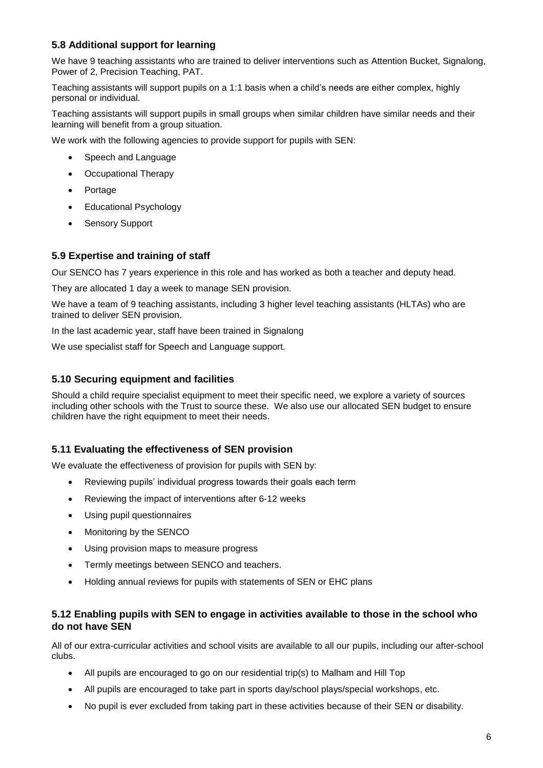# **5.8 Additional support for learning**

We have 9 teaching assistants who are trained to deliver interventions such as Attention Bucket, Signalong, Power of 2, Precision Teaching, PAT.

Teaching assistants will support pupils on a 1:1 basis when a child's needs are either complex, highly personal or individual.

Teaching assistants will support pupils in small groups when similar children have similar needs and their learning will benefit from a group situation.

We work with the following agencies to provide support for pupils with SEN:

- Speech and Language
- Occupational Therapy
- Portage
- Educational Psychology
- Sensory Support

#### **5.9 Expertise and training of staff**

Our SENCO has 7 years experience in this role and has worked as both a teacher and deputy head.

They are allocated 1 day a week to manage SEN provision.

We have a team of 9 teaching assistants, including 3 higher level teaching assistants (HLTAs) who are trained to deliver SEN provision.

In the last academic year, staff have been trained in Signalong

We use specialist staff for Speech and Language support.

#### **5.10 Securing equipment and facilities**

Should a child require specialist equipment to meet their specific need, we explore a variety of sources including other schools with the Trust to source these. We also use our allocated SEN budget to ensure children have the right equipment to meet their needs.

#### **5.11 Evaluating the effectiveness of SEN provision**

We evaluate the effectiveness of provision for pupils with SEN by:

- Reviewing pupils' individual progress towards their goals each term
- Reviewing the impact of interventions after 6-12 weeks
- Using pupil questionnaires
- Monitoring by the SENCO
- Using provision maps to measure progress
- Termly meetings between SENCO and teachers.
- Holding annual reviews for pupils with statements of SEN or EHC plans

## **5.12 Enabling pupils with SEN to engage in activities available to those in the school who do not have SEN**

All of our extra-curricular activities and school visits are available to all our pupils, including our after-school clubs.

- All pupils are encouraged to go on our residential trip(s) to Malham and Hill Top
- All pupils are encouraged to take part in sports day/school plays/special workshops, etc.
- No pupil is ever excluded from taking part in these activities because of their SEN or disability.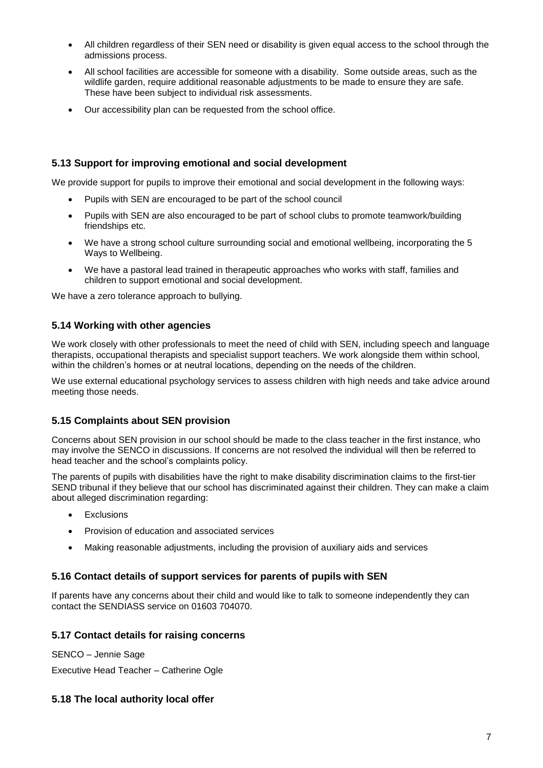- All children regardless of their SEN need or disability is given equal access to the school through the admissions process.
- All school facilities are accessible for someone with a disability. Some outside areas, such as the wildlife garden, require additional reasonable adjustments to be made to ensure they are safe. These have been subject to individual risk assessments.
- Our accessibility plan can be requested from the school office.

# **5.13 Support for improving emotional and social development**

We provide support for pupils to improve their emotional and social development in the following ways:

- Pupils with SEN are encouraged to be part of the school council
- Pupils with SEN are also encouraged to be part of school clubs to promote teamwork/building friendships etc.
- We have a strong school culture surrounding social and emotional wellbeing, incorporating the 5 Ways to Wellbeing.
- We have a pastoral lead trained in therapeutic approaches who works with staff, families and children to support emotional and social development.

We have a zero tolerance approach to bullying.

#### **5.14 Working with other agencies**

We work closely with other professionals to meet the need of child with SEN, including speech and language therapists, occupational therapists and specialist support teachers. We work alongside them within school, within the children's homes or at neutral locations, depending on the needs of the children.

We use external educational psychology services to assess children with high needs and take advice around meeting those needs.

## **5.15 Complaints about SEN provision**

Concerns about SEN provision in our school should be made to the class teacher in the first instance, who may involve the SENCO in discussions. If concerns are not resolved the individual will then be referred to head teacher and the school's complaints policy.

The parents of pupils with disabilities have the right to make disability discrimination claims to the first-tier SEND tribunal if they believe that our school has discriminated against their children. They can make a claim about alleged discrimination regarding:

- **Exclusions**
- Provision of education and associated services
- Making reasonable adjustments, including the provision of auxiliary aids and services

#### **5.16 Contact details of support services for parents of pupils with SEN**

If parents have any concerns about their child and would like to talk to someone independently they can contact the SENDIASS service on 01603 704070.

#### **5.17 Contact details for raising concerns**

SENCO – Jennie Sage

Executive Head Teacher – Catherine Ogle

## **5.18 The local authority local offer**